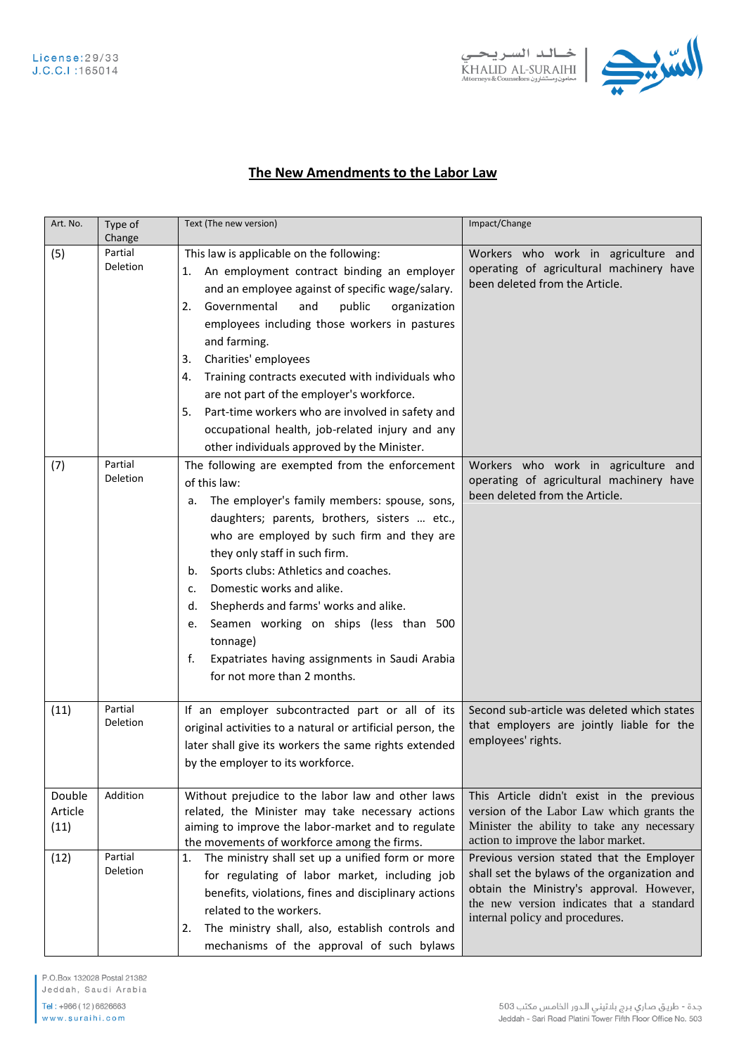



## The New Amendments to the Labor Law

| Art. No.                  | Type of<br>Change          | Text (The new version)                                                                                                                                                                                                                                                                                                                                                                                                                                                                                                                                                    | Impact/Change                                                                                                                                                                                                         |
|---------------------------|----------------------------|---------------------------------------------------------------------------------------------------------------------------------------------------------------------------------------------------------------------------------------------------------------------------------------------------------------------------------------------------------------------------------------------------------------------------------------------------------------------------------------------------------------------------------------------------------------------------|-----------------------------------------------------------------------------------------------------------------------------------------------------------------------------------------------------------------------|
| (5)                       | Partial<br><b>Deletion</b> | This law is applicable on the following:<br>An employment contract binding an employer<br>1.<br>and an employee against of specific wage/salary.<br>Governmental<br>and<br>public<br>organization<br>2.<br>employees including those workers in pastures<br>and farming.<br>Charities' employees<br>3.<br>Training contracts executed with individuals who<br>4.<br>are not part of the employer's workforce.<br>Part-time workers who are involved in safety and<br>5.<br>occupational health, job-related injury and any<br>other individuals approved by the Minister. | Workers who work in agriculture and<br>operating of agricultural machinery have<br>been deleted from the Article.                                                                                                     |
| (7)                       | Partial<br>Deletion        | The following are exempted from the enforcement<br>of this law:<br>The employer's family members: spouse, sons,<br>a.<br>daughters; parents, brothers, sisters  etc.,<br>who are employed by such firm and they are<br>they only staff in such firm.<br>Sports clubs: Athletics and coaches.<br>b.<br>Domestic works and alike.<br>c.<br>Shepherds and farms' works and alike.<br>d.<br>Seamen working on ships (less than 500<br>e.<br>tonnage)<br>Expatriates having assignments in Saudi Arabia<br>f.<br>for not more than 2 months.                                   | Workers who work in agriculture and<br>operating of agricultural machinery have<br>been deleted from the Article.                                                                                                     |
| (11)                      | Partial<br><b>Deletion</b> | If an employer subcontracted part or all of its<br>original activities to a natural or artificial person, the<br>later shall give its workers the same rights extended<br>by the employer to its workforce.                                                                                                                                                                                                                                                                                                                                                               | Second sub-article was deleted which states<br>that employers are jointly liable for the<br>employees' rights.                                                                                                        |
| Double<br>Article<br>(11) | Addition                   | Without prejudice to the labor law and other laws<br>related, the Minister may take necessary actions<br>aiming to improve the labor-market and to regulate<br>the movements of workforce among the firms.                                                                                                                                                                                                                                                                                                                                                                | This Article didn't exist in the previous<br>version of the Labor Law which grants the<br>Minister the ability to take any necessary<br>action to improve the labor market.                                           |
| (12)                      | Partial<br>Deletion        | The ministry shall set up a unified form or more<br>1.<br>for regulating of labor market, including job<br>benefits, violations, fines and disciplinary actions<br>related to the workers.<br>The ministry shall, also, establish controls and<br>2.<br>mechanisms of the approval of such bylaws                                                                                                                                                                                                                                                                         | Previous version stated that the Employer<br>shall set the bylaws of the organization and<br>obtain the Ministry's approval. However,<br>the new version indicates that a standard<br>internal policy and procedures. |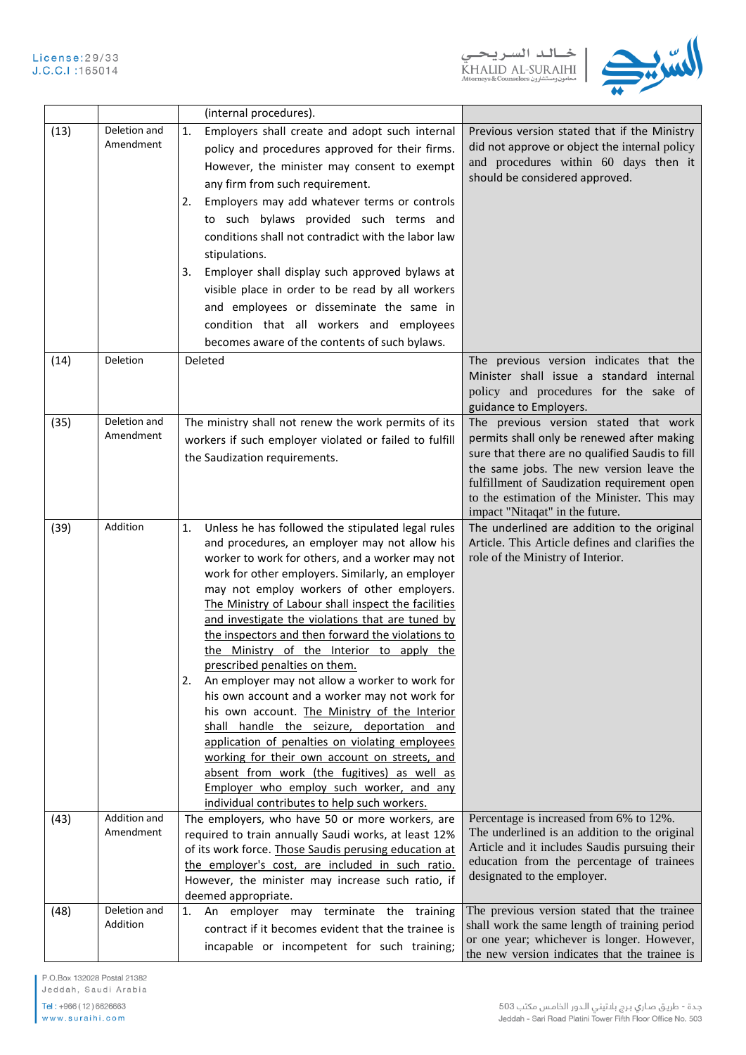

|      |                           | (internal procedures).                                                                                                                                                                                                                                                                                                                                                                                                                                                                                                                                                                                                                                                                                                                                                                                                                                                                                                                                            |                                                                                                                                                                                                                                                                                                                     |
|------|---------------------------|-------------------------------------------------------------------------------------------------------------------------------------------------------------------------------------------------------------------------------------------------------------------------------------------------------------------------------------------------------------------------------------------------------------------------------------------------------------------------------------------------------------------------------------------------------------------------------------------------------------------------------------------------------------------------------------------------------------------------------------------------------------------------------------------------------------------------------------------------------------------------------------------------------------------------------------------------------------------|---------------------------------------------------------------------------------------------------------------------------------------------------------------------------------------------------------------------------------------------------------------------------------------------------------------------|
| (13) | Deletion and<br>Amendment | Employers shall create and adopt such internal<br>1.<br>policy and procedures approved for their firms.<br>However, the minister may consent to exempt<br>any firm from such requirement.<br>Employers may add whatever terms or controls<br>2.<br>to such bylaws provided such terms and<br>conditions shall not contradict with the labor law<br>stipulations.<br>Employer shall display such approved bylaws at<br>3.<br>visible place in order to be read by all workers<br>and employees or disseminate the same in<br>condition that all workers and employees<br>becomes aware of the contents of such bylaws.                                                                                                                                                                                                                                                                                                                                             | Previous version stated that if the Ministry<br>did not approve or object the internal policy<br>and procedures within 60 days then it<br>should be considered approved.                                                                                                                                            |
| (14) | Deletion                  | Deleted                                                                                                                                                                                                                                                                                                                                                                                                                                                                                                                                                                                                                                                                                                                                                                                                                                                                                                                                                           | The previous version indicates that the<br>Minister shall issue a standard internal<br>policy and procedures for the sake of<br>guidance to Employers.                                                                                                                                                              |
| (35) | Deletion and<br>Amendment | The ministry shall not renew the work permits of its<br>workers if such employer violated or failed to fulfill<br>the Saudization requirements.                                                                                                                                                                                                                                                                                                                                                                                                                                                                                                                                                                                                                                                                                                                                                                                                                   | The previous version stated that work<br>permits shall only be renewed after making<br>sure that there are no qualified Saudis to fill<br>the same jobs. The new version leave the<br>fulfillment of Saudization requirement open<br>to the estimation of the Minister. This may<br>impact "Nitaqat" in the future. |
| (39) | Addition                  | Unless he has followed the stipulated legal rules<br>1.<br>and procedures, an employer may not allow his<br>worker to work for others, and a worker may not<br>work for other employers. Similarly, an employer<br>may not employ workers of other employers.<br>The Ministry of Labour shall inspect the facilities<br>and investigate the violations that are tuned by<br>the inspectors and then forward the violations to<br>the Ministry of the Interior to apply the<br>prescribed penalties on them.<br>An employer may not allow a worker to work for<br>2.<br>his own account and a worker may not work for<br>his own account. The Ministry of the Interior<br>shall handle the seizure, deportation and<br>application of penalties on violating employees<br>working for their own account on streets, and<br>absent from work (the fugitives) as well as<br>Employer who employ such worker, and any<br>individual contributes to help such workers. | The underlined are addition to the original<br>Article. This Article defines and clarifies the<br>role of the Ministry of Interior.                                                                                                                                                                                 |
| (43) | Addition and<br>Amendment | The employers, who have 50 or more workers, are<br>required to train annually Saudi works, at least 12%<br>of its work force. Those Saudis perusing education at<br>the employer's cost, are included in such ratio.<br>However, the minister may increase such ratio, if<br>deemed appropriate.                                                                                                                                                                                                                                                                                                                                                                                                                                                                                                                                                                                                                                                                  | Percentage is increased from 6% to 12%.<br>The underlined is an addition to the original<br>Article and it includes Saudis pursuing their<br>education from the percentage of trainees<br>designated to the employer.                                                                                               |
| (48) | Deletion and<br>Addition  | employer may terminate the training<br>1.<br>An<br>contract if it becomes evident that the trainee is<br>incapable or incompetent for such training;                                                                                                                                                                                                                                                                                                                                                                                                                                                                                                                                                                                                                                                                                                                                                                                                              | The previous version stated that the trainee<br>shall work the same length of training period<br>or one year; whichever is longer. However,<br>the new version indicates that the trainee is                                                                                                                        |

P.O.Box 132028 Postal 21382

Jeddah, Saudi Arabia Tel: +966 (12) 6626663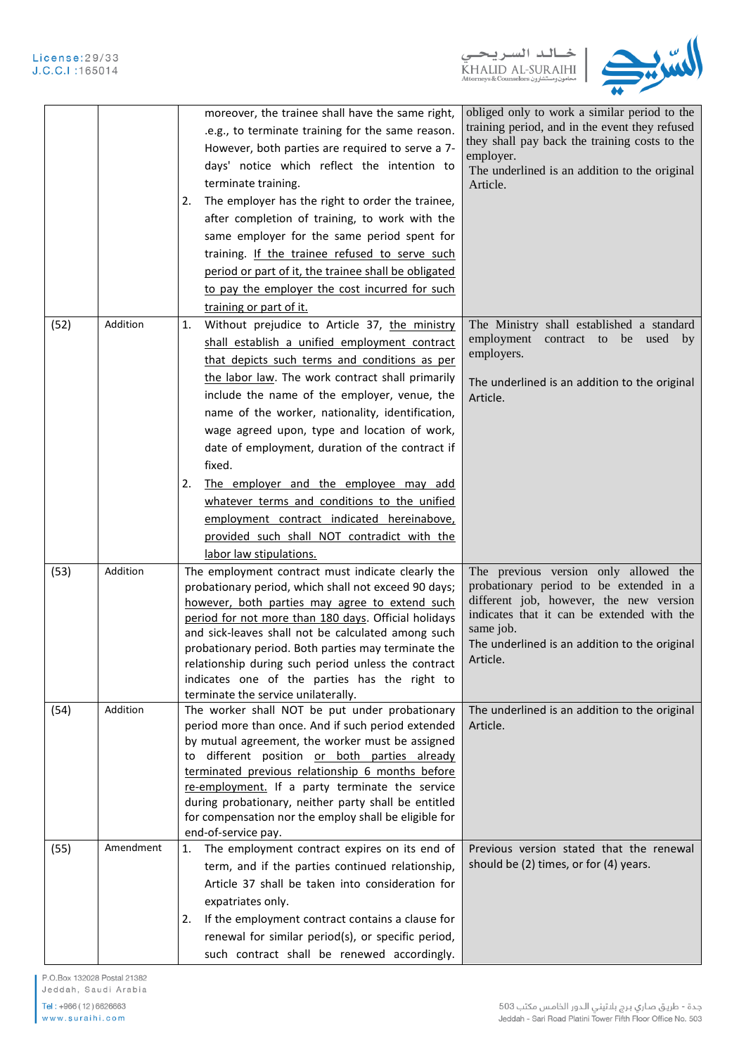

|      |           | moreover, the trainee shall have the same right,<br>.e.g., to terminate training for the same reason.<br>However, both parties are required to serve a 7-<br>days' notice which reflect the intention to<br>terminate training.<br>The employer has the right to order the trainee,<br>2.<br>after completion of training, to work with the<br>same employer for the same period spent for<br>training. If the trainee refused to serve such<br>period or part of it, the trainee shall be obligated<br>to pay the employer the cost incurred for such<br>training or part of it.                                                                 | obliged only to work a similar period to the<br>training period, and in the event they refused<br>they shall pay back the training costs to the<br>employer.<br>The underlined is an addition to the original<br>Article.                           |
|------|-----------|---------------------------------------------------------------------------------------------------------------------------------------------------------------------------------------------------------------------------------------------------------------------------------------------------------------------------------------------------------------------------------------------------------------------------------------------------------------------------------------------------------------------------------------------------------------------------------------------------------------------------------------------------|-----------------------------------------------------------------------------------------------------------------------------------------------------------------------------------------------------------------------------------------------------|
| (52) | Addition  | Without prejudice to Article 37, the ministry<br>1.<br>shall establish a unified employment contract<br>that depicts such terms and conditions as per<br>the labor law. The work contract shall primarily<br>include the name of the employer, venue, the<br>name of the worker, nationality, identification,<br>wage agreed upon, type and location of work,<br>date of employment, duration of the contract if<br>fixed.<br>The employer and the employee may add<br>2.<br>whatever terms and conditions to the unified<br>employment contract indicated hereinabove,<br>provided such shall NOT contradict with the<br>labor law stipulations. | The Ministry shall established a standard<br>employment<br>contract to be used by<br>employers.<br>The underlined is an addition to the original<br>Article.                                                                                        |
| (53) | Addition  | The employment contract must indicate clearly the<br>probationary period, which shall not exceed 90 days;<br>however, both parties may agree to extend such<br>period for not more than 180 days. Official holidays<br>and sick-leaves shall not be calculated among such<br>probationary period. Both parties may terminate the<br>relationship during such period unless the contract<br>indicates one of the parties has the right to<br>terminate the service unilaterally.                                                                                                                                                                   | The previous version only allowed the<br>probationary period to be extended in a<br>different job, however, the new version<br>indicates that it can be extended with the<br>same job.<br>The underlined is an addition to the original<br>Article. |
| (54) | Addition  | The worker shall NOT be put under probationary<br>period more than once. And if such period extended<br>by mutual agreement, the worker must be assigned<br>different position or both parties already<br>to<br>terminated previous relationship 6 months before<br>re-employment. If a party terminate the service<br>during probationary, neither party shall be entitled<br>for compensation nor the employ shall be eligible for<br>end-of-service pay.                                                                                                                                                                                       | The underlined is an addition to the original<br>Article.                                                                                                                                                                                           |
| (55) | Amendment | The employment contract expires on its end of<br>1.<br>term, and if the parties continued relationship,<br>Article 37 shall be taken into consideration for<br>expatriates only.<br>If the employment contract contains a clause for<br>2.<br>renewal for similar period(s), or specific period,<br>such contract shall be renewed accordingly.                                                                                                                                                                                                                                                                                                   | Previous version stated that the renewal<br>should be (2) times, or for (4) years.                                                                                                                                                                  |

P.O.Box 132028 Postal 21382

Jeddah, Saudi Arabia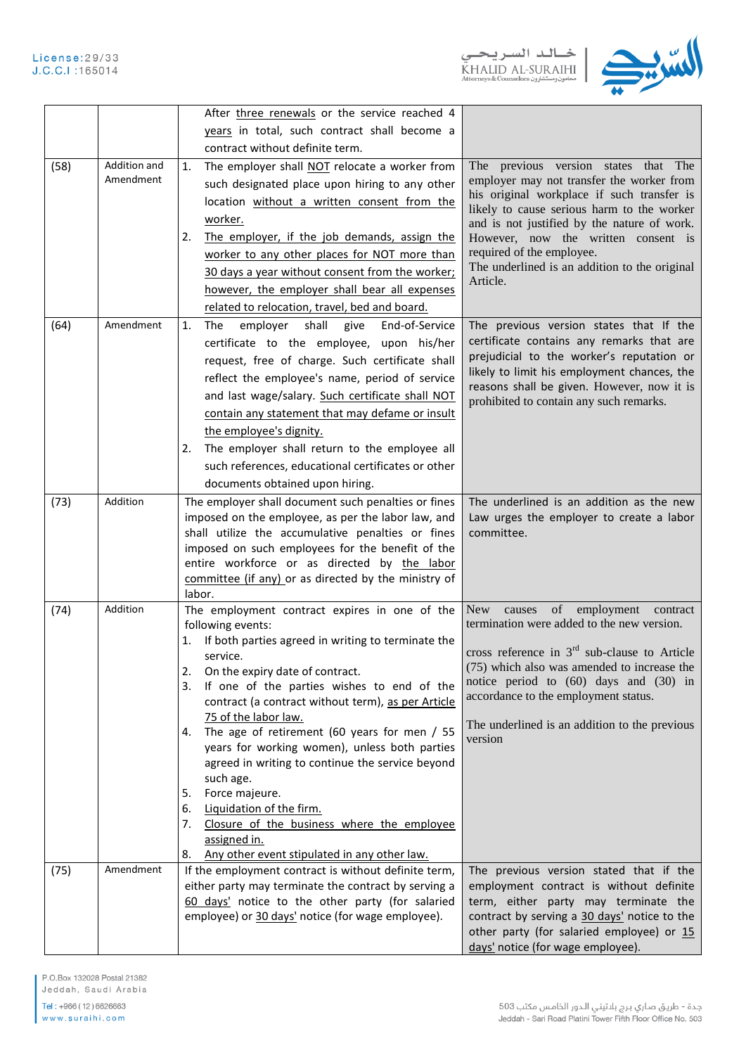

|      |              | After three renewals or the service reached 4                                                            |                                                                                             |
|------|--------------|----------------------------------------------------------------------------------------------------------|---------------------------------------------------------------------------------------------|
|      |              | years in total, such contract shall become a                                                             |                                                                                             |
|      |              | contract without definite term.                                                                          |                                                                                             |
| (58) | Addition and | The employer shall NOT relocate a worker from<br>1.                                                      | The previous version states that The                                                        |
|      | Amendment    | such designated place upon hiring to any other                                                           | employer may not transfer the worker from                                                   |
|      |              | location without a written consent from the                                                              | his original workplace if such transfer is                                                  |
|      |              | worker.                                                                                                  | likely to cause serious harm to the worker<br>and is not justified by the nature of work.   |
|      |              | The employer, if the job demands, assign the<br>2.                                                       | However, now the written consent is                                                         |
|      |              | worker to any other places for NOT more than                                                             | required of the employee.                                                                   |
|      |              | 30 days a year without consent from the worker;                                                          | The underlined is an addition to the original                                               |
|      |              | however, the employer shall bear all expenses                                                            | Article.                                                                                    |
|      |              | related to relocation, travel, bed and board.                                                            |                                                                                             |
| (64) | Amendment    | employer<br>shall<br>give<br>End-of-Service<br>1.<br>The                                                 | The previous version states that If the                                                     |
|      |              | certificate to the employee, upon his/her                                                                | certificate contains any remarks that are                                                   |
|      |              | request, free of charge. Such certificate shall                                                          | prejudicial to the worker's reputation or                                                   |
|      |              | reflect the employee's name, period of service                                                           | likely to limit his employment chances, the                                                 |
|      |              | and last wage/salary. Such certificate shall NOT                                                         | reasons shall be given. However, now it is                                                  |
|      |              | contain any statement that may defame or insult                                                          | prohibited to contain any such remarks.                                                     |
|      |              | the employee's dignity.                                                                                  |                                                                                             |
|      |              | The employer shall return to the employee all<br>2.                                                      |                                                                                             |
|      |              | such references, educational certificates or other                                                       |                                                                                             |
|      |              | documents obtained upon hiring.                                                                          |                                                                                             |
| (73) | Addition     | The employer shall document such penalties or fines                                                      | The underlined is an addition as the new                                                    |
|      |              | imposed on the employee, as per the labor law, and                                                       | Law urges the employer to create a labor                                                    |
|      |              | shall utilize the accumulative penalties or fines                                                        | committee.                                                                                  |
|      |              | imposed on such employees for the benefit of the                                                         |                                                                                             |
|      |              | entire workforce or as directed by the labor                                                             |                                                                                             |
|      |              | committee (if any) or as directed by the ministry of                                                     |                                                                                             |
|      |              | labor.                                                                                                   |                                                                                             |
| (74) | Addition     | The employment contract expires in one of the                                                            | of employment<br>New \,<br>causes<br>contract<br>termination were added to the new version. |
|      |              | following events:<br>If both parties agreed in writing to terminate the<br>1.                            |                                                                                             |
|      |              | service.                                                                                                 | cross reference in $3rd$ sub-clause to Article                                              |
|      |              | On the expiry date of contract.<br>2.                                                                    | (75) which also was amended to increase the                                                 |
|      |              | If one of the parties wishes to end of the<br>3.                                                         | notice period to (60) days and (30) in                                                      |
|      |              | contract (a contract without term), as per Article                                                       | accordance to the employment status.                                                        |
|      |              | 75 of the labor law.                                                                                     | The underlined is an addition to the previous                                               |
|      |              | 4. The age of retirement (60 years for men / 55                                                          | version                                                                                     |
|      |              | years for working women), unless both parties                                                            |                                                                                             |
|      |              | agreed in writing to continue the service beyond<br>such age.                                            |                                                                                             |
|      |              | Force majeure.<br>5.                                                                                     |                                                                                             |
|      |              | Liquidation of the firm.<br>6.                                                                           |                                                                                             |
|      |              | Closure of the business where the employee<br>7.                                                         |                                                                                             |
|      |              | assigned in.                                                                                             |                                                                                             |
|      |              | Any other event stipulated in any other law.<br>8.                                                       |                                                                                             |
| (75) | Amendment    | If the employment contract is without definite term,                                                     | The previous version stated that if the                                                     |
|      |              | either party may terminate the contract by serving a<br>60 days' notice to the other party (for salaried | employment contract is without definite<br>term, either party may terminate the             |
|      |              | employee) or 30 days' notice (for wage employee).                                                        | contract by serving a 30 days' notice to the                                                |
|      |              |                                                                                                          | other party (for salaried employee) or 15                                                   |
|      |              |                                                                                                          | days' notice (for wage employee).                                                           |

P.O.Box 132028 Postal 21382 Jeddah, Saudi Arabia

Tel: +966 (12) 6626663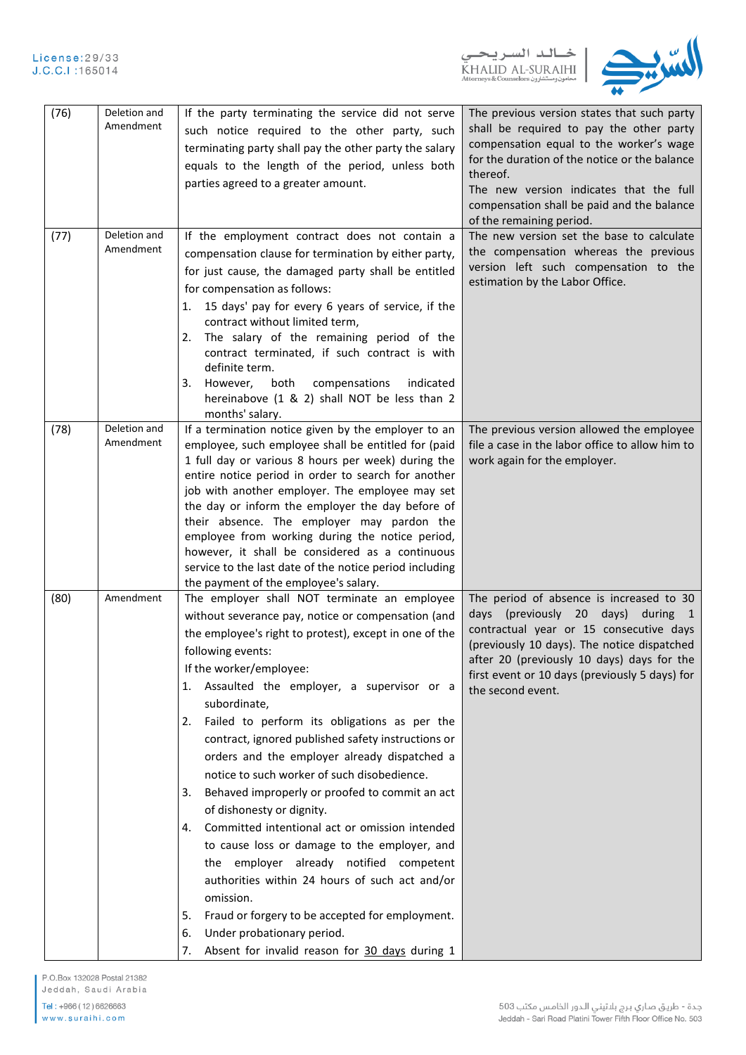



| (76) | Deletion and<br>Amendment | If the party terminating the service did not serve<br>such notice required to the other party, such<br>terminating party shall pay the other party the salary<br>equals to the length of the period, unless both<br>parties agreed to a greater amount.                                                                                                                                                                                                                                                                                                                                                                                                                                                                                                                                                                                                                                                                                                | The previous version states that such party<br>shall be required to pay the other party<br>compensation equal to the worker's wage<br>for the duration of the notice or the balance<br>thereof.<br>The new version indicates that the full<br>compensation shall be paid and the balance<br>of the remaining period. |
|------|---------------------------|--------------------------------------------------------------------------------------------------------------------------------------------------------------------------------------------------------------------------------------------------------------------------------------------------------------------------------------------------------------------------------------------------------------------------------------------------------------------------------------------------------------------------------------------------------------------------------------------------------------------------------------------------------------------------------------------------------------------------------------------------------------------------------------------------------------------------------------------------------------------------------------------------------------------------------------------------------|----------------------------------------------------------------------------------------------------------------------------------------------------------------------------------------------------------------------------------------------------------------------------------------------------------------------|
| (77) | Deletion and<br>Amendment | If the employment contract does not contain a<br>compensation clause for termination by either party,<br>for just cause, the damaged party shall be entitled<br>for compensation as follows:<br>15 days' pay for every 6 years of service, if the<br>1.<br>contract without limited term,<br>The salary of the remaining period of the<br>2.<br>contract terminated, if such contract is with<br>definite term.<br>3.<br>However,<br>both<br>compensations<br>indicated<br>hereinabove (1 & 2) shall NOT be less than 2<br>months' salary.                                                                                                                                                                                                                                                                                                                                                                                                             | The new version set the base to calculate<br>the compensation whereas the previous<br>version left such compensation to the<br>estimation by the Labor Office.                                                                                                                                                       |
| (78) | Deletion and<br>Amendment | If a termination notice given by the employer to an<br>employee, such employee shall be entitled for (paid<br>1 full day or various 8 hours per week) during the<br>entire notice period in order to search for another<br>job with another employer. The employee may set<br>the day or inform the employer the day before of<br>their absence. The employer may pardon the<br>employee from working during the notice period,<br>however, it shall be considered as a continuous<br>service to the last date of the notice period including<br>the payment of the employee's salary.                                                                                                                                                                                                                                                                                                                                                                 | The previous version allowed the employee<br>file a case in the labor office to allow him to<br>work again for the employer.                                                                                                                                                                                         |
| (80) | Amendment                 | The employer shall NOT terminate an employee<br>without severance pay, notice or compensation (and<br>the employee's right to protest), except in one of the<br>following events:<br>If the worker/employee:<br>Assaulted the employer, a supervisor or a<br>1.<br>subordinate,<br>Failed to perform its obligations as per the<br>2.<br>contract, ignored published safety instructions or<br>orders and the employer already dispatched a<br>notice to such worker of such disobedience.<br>Behaved improperly or proofed to commit an act<br>3.<br>of dishonesty or dignity.<br>Committed intentional act or omission intended<br>4.<br>to cause loss or damage to the employer, and<br>the employer already notified competent<br>authorities within 24 hours of such act and/or<br>omission.<br>Fraud or forgery to be accepted for employment.<br>5.<br>Under probationary period.<br>6.<br>Absent for invalid reason for 30 days during 1<br>7. | The period of absence is increased to 30<br>days (previously 20 days)<br>during $1$<br>contractual year or 15 consecutive days<br>(previously 10 days). The notice dispatched<br>after 20 (previously 10 days) days for the<br>first event or 10 days (previously 5 days) for<br>the second event.                   |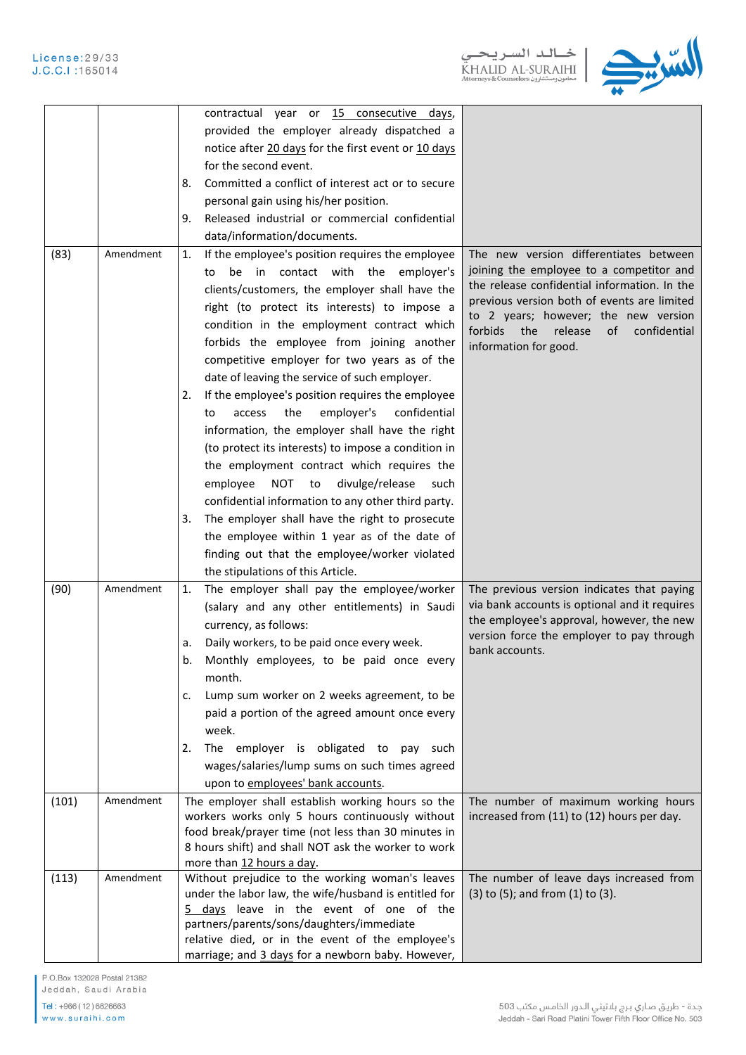

|       |           | contractual year or 15 consecutive days,                                                                                                                                                                                                                                                                                                                                                                                                                                                                                                                                                                                                                                                                                                                                                                                                                                                |                                                                                                                                                                                                                                                                                                    |
|-------|-----------|-----------------------------------------------------------------------------------------------------------------------------------------------------------------------------------------------------------------------------------------------------------------------------------------------------------------------------------------------------------------------------------------------------------------------------------------------------------------------------------------------------------------------------------------------------------------------------------------------------------------------------------------------------------------------------------------------------------------------------------------------------------------------------------------------------------------------------------------------------------------------------------------|----------------------------------------------------------------------------------------------------------------------------------------------------------------------------------------------------------------------------------------------------------------------------------------------------|
|       |           | provided the employer already dispatched a                                                                                                                                                                                                                                                                                                                                                                                                                                                                                                                                                                                                                                                                                                                                                                                                                                              |                                                                                                                                                                                                                                                                                                    |
|       |           | notice after 20 days for the first event or 10 days                                                                                                                                                                                                                                                                                                                                                                                                                                                                                                                                                                                                                                                                                                                                                                                                                                     |                                                                                                                                                                                                                                                                                                    |
|       |           | for the second event.                                                                                                                                                                                                                                                                                                                                                                                                                                                                                                                                                                                                                                                                                                                                                                                                                                                                   |                                                                                                                                                                                                                                                                                                    |
|       |           | Committed a conflict of interest act or to secure                                                                                                                                                                                                                                                                                                                                                                                                                                                                                                                                                                                                                                                                                                                                                                                                                                       |                                                                                                                                                                                                                                                                                                    |
|       |           | 8.                                                                                                                                                                                                                                                                                                                                                                                                                                                                                                                                                                                                                                                                                                                                                                                                                                                                                      |                                                                                                                                                                                                                                                                                                    |
|       |           | personal gain using his/her position.                                                                                                                                                                                                                                                                                                                                                                                                                                                                                                                                                                                                                                                                                                                                                                                                                                                   |                                                                                                                                                                                                                                                                                                    |
|       |           | Released industrial or commercial confidential<br>9.                                                                                                                                                                                                                                                                                                                                                                                                                                                                                                                                                                                                                                                                                                                                                                                                                                    |                                                                                                                                                                                                                                                                                                    |
|       |           | data/information/documents.                                                                                                                                                                                                                                                                                                                                                                                                                                                                                                                                                                                                                                                                                                                                                                                                                                                             |                                                                                                                                                                                                                                                                                                    |
| (83)  | Amendment | If the employee's position requires the employee<br>1.<br>be in contact with the employer's<br>to<br>clients/customers, the employer shall have the<br>right (to protect its interests) to impose a<br>condition in the employment contract which<br>forbids the employee from joining another<br>competitive employer for two years as of the<br>date of leaving the service of such employer.<br>If the employee's position requires the employee<br>2.<br>employer's<br>confidential<br>the<br>access<br>to<br>information, the employer shall have the right<br>(to protect its interests) to impose a condition in<br>the employment contract which requires the<br>NOT<br>divulge/release<br>employee<br>to<br>such<br>confidential information to any other third party.<br>The employer shall have the right to prosecute<br>3.<br>the employee within 1 year as of the date of | The new version differentiates between<br>joining the employee to a competitor and<br>the release confidential information. In the<br>previous version both of events are limited<br>to 2 years; however; the new version<br>forbids the<br>release<br>of<br>confidential<br>information for good. |
|       |           |                                                                                                                                                                                                                                                                                                                                                                                                                                                                                                                                                                                                                                                                                                                                                                                                                                                                                         |                                                                                                                                                                                                                                                                                                    |
|       |           | finding out that the employee/worker violated                                                                                                                                                                                                                                                                                                                                                                                                                                                                                                                                                                                                                                                                                                                                                                                                                                           |                                                                                                                                                                                                                                                                                                    |
|       |           | the stipulations of this Article.                                                                                                                                                                                                                                                                                                                                                                                                                                                                                                                                                                                                                                                                                                                                                                                                                                                       |                                                                                                                                                                                                                                                                                                    |
| (90)  | Amendment | The employer shall pay the employee/worker<br>1.<br>(salary and any other entitlements) in Saudi<br>currency, as follows:<br>Daily workers, to be paid once every week.<br>a.<br>Monthly employees, to be paid once every<br>b.<br>month.                                                                                                                                                                                                                                                                                                                                                                                                                                                                                                                                                                                                                                               | The previous version indicates that paying<br>via bank accounts is optional and it requires<br>the employee's approval, however, the new<br>version force the employer to pay through<br>bank accounts.                                                                                            |
|       |           | Lump sum worker on 2 weeks agreement, to be<br>c.                                                                                                                                                                                                                                                                                                                                                                                                                                                                                                                                                                                                                                                                                                                                                                                                                                       |                                                                                                                                                                                                                                                                                                    |
|       |           | paid a portion of the agreed amount once every                                                                                                                                                                                                                                                                                                                                                                                                                                                                                                                                                                                                                                                                                                                                                                                                                                          |                                                                                                                                                                                                                                                                                                    |
|       |           | week.                                                                                                                                                                                                                                                                                                                                                                                                                                                                                                                                                                                                                                                                                                                                                                                                                                                                                   |                                                                                                                                                                                                                                                                                                    |
|       |           | The employer is obligated to pay such<br>2.                                                                                                                                                                                                                                                                                                                                                                                                                                                                                                                                                                                                                                                                                                                                                                                                                                             |                                                                                                                                                                                                                                                                                                    |
|       |           | wages/salaries/lump sums on such times agreed                                                                                                                                                                                                                                                                                                                                                                                                                                                                                                                                                                                                                                                                                                                                                                                                                                           |                                                                                                                                                                                                                                                                                                    |
|       |           | upon to employees' bank accounts.                                                                                                                                                                                                                                                                                                                                                                                                                                                                                                                                                                                                                                                                                                                                                                                                                                                       |                                                                                                                                                                                                                                                                                                    |
| (101) | Amendment | The employer shall establish working hours so the                                                                                                                                                                                                                                                                                                                                                                                                                                                                                                                                                                                                                                                                                                                                                                                                                                       | The number of maximum working hours                                                                                                                                                                                                                                                                |
|       |           | workers works only 5 hours continuously without                                                                                                                                                                                                                                                                                                                                                                                                                                                                                                                                                                                                                                                                                                                                                                                                                                         | increased from (11) to (12) hours per day.                                                                                                                                                                                                                                                         |
|       |           | food break/prayer time (not less than 30 minutes in                                                                                                                                                                                                                                                                                                                                                                                                                                                                                                                                                                                                                                                                                                                                                                                                                                     |                                                                                                                                                                                                                                                                                                    |
|       |           | 8 hours shift) and shall NOT ask the worker to work                                                                                                                                                                                                                                                                                                                                                                                                                                                                                                                                                                                                                                                                                                                                                                                                                                     |                                                                                                                                                                                                                                                                                                    |
|       |           | more than 12 hours a day.                                                                                                                                                                                                                                                                                                                                                                                                                                                                                                                                                                                                                                                                                                                                                                                                                                                               |                                                                                                                                                                                                                                                                                                    |
| (113) | Amendment | Without prejudice to the working woman's leaves                                                                                                                                                                                                                                                                                                                                                                                                                                                                                                                                                                                                                                                                                                                                                                                                                                         | The number of leave days increased from                                                                                                                                                                                                                                                            |
|       |           | under the labor law, the wife/husband is entitled for                                                                                                                                                                                                                                                                                                                                                                                                                                                                                                                                                                                                                                                                                                                                                                                                                                   | (3) to (5); and from (1) to (3).                                                                                                                                                                                                                                                                   |
|       |           | 5 days leave in the event of one of the                                                                                                                                                                                                                                                                                                                                                                                                                                                                                                                                                                                                                                                                                                                                                                                                                                                 |                                                                                                                                                                                                                                                                                                    |
|       |           | partners/parents/sons/daughters/immediate                                                                                                                                                                                                                                                                                                                                                                                                                                                                                                                                                                                                                                                                                                                                                                                                                                               |                                                                                                                                                                                                                                                                                                    |
|       |           | relative died, or in the event of the employee's                                                                                                                                                                                                                                                                                                                                                                                                                                                                                                                                                                                                                                                                                                                                                                                                                                        |                                                                                                                                                                                                                                                                                                    |
|       |           | marriage; and 3 days for a newborn baby. However,                                                                                                                                                                                                                                                                                                                                                                                                                                                                                                                                                                                                                                                                                                                                                                                                                                       |                                                                                                                                                                                                                                                                                                    |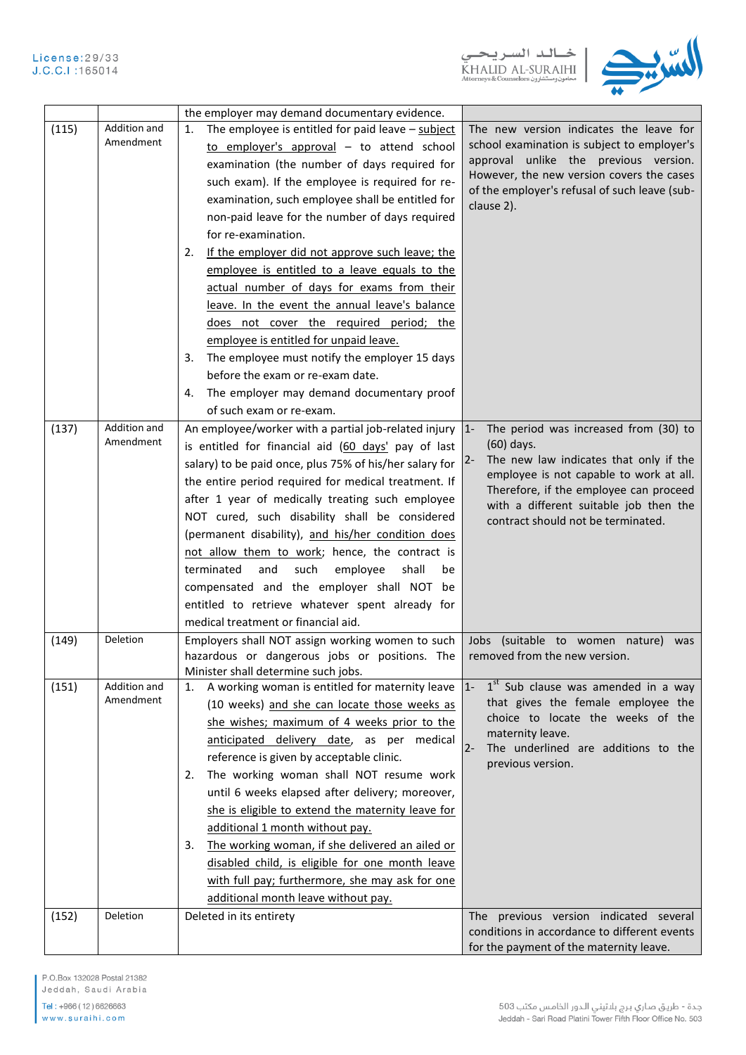



|       |                           | the employer may demand documentary evidence.                                                     |                                                                                        |
|-------|---------------------------|---------------------------------------------------------------------------------------------------|----------------------------------------------------------------------------------------|
| (115) | Addition and<br>Amendment | The employee is entitled for paid leave $-$ subject<br>1.                                         | The new version indicates the leave for<br>school examination is subject to employer's |
|       |                           | to employer's approval $-$ to attend school                                                       | approval unlike the previous version.                                                  |
|       |                           | examination (the number of days required for                                                      | However, the new version covers the cases                                              |
|       |                           | such exam). If the employee is required for re-                                                   | of the employer's refusal of such leave (sub-                                          |
|       |                           | examination, such employee shall be entitled for                                                  | clause 2).                                                                             |
|       |                           | non-paid leave for the number of days required                                                    |                                                                                        |
|       |                           | for re-examination.                                                                               |                                                                                        |
|       |                           | If the employer did not approve such leave; the<br>2.                                             |                                                                                        |
|       |                           | employee is entitled to a leave equals to the                                                     |                                                                                        |
|       |                           | actual number of days for exams from their                                                        |                                                                                        |
|       |                           | leave. In the event the annual leave's balance                                                    |                                                                                        |
|       |                           | does not cover the required period; the                                                           |                                                                                        |
|       |                           | employee is entitled for unpaid leave.                                                            |                                                                                        |
|       |                           | The employee must notify the employer 15 days<br>3.                                               |                                                                                        |
|       |                           | before the exam or re-exam date.                                                                  |                                                                                        |
|       |                           | The employer may demand documentary proof<br>4.                                                   |                                                                                        |
|       |                           | of such exam or re-exam.                                                                          |                                                                                        |
| (137) | Addition and              | An employee/worker with a partial job-related injury $ 1-$                                        | The period was increased from (30) to                                                  |
|       | Amendment                 | is entitled for financial aid (60 days' pay of last                                               | $(60)$ days.                                                                           |
|       |                           | salary) to be paid once, plus 75% of his/her salary for                                           | The new law indicates that only if the                                                 |
|       |                           | the entire period required for medical treatment. If                                              | employee is not capable to work at all.                                                |
|       |                           | after 1 year of medically treating such employee                                                  | Therefore, if the employee can proceed                                                 |
|       |                           | NOT cured, such disability shall be considered                                                    | with a different suitable job then the                                                 |
|       |                           | (permanent disability), and his/her condition does                                                | contract should not be terminated.                                                     |
|       |                           | not allow them to work; hence, the contract is                                                    |                                                                                        |
|       |                           | terminated<br>and<br>such<br>employee<br>shall<br>be                                              |                                                                                        |
|       |                           | compensated and the employer shall NOT be                                                         |                                                                                        |
|       |                           | entitled to retrieve whatever spent already for                                                   |                                                                                        |
|       |                           | medical treatment or financial aid.                                                               |                                                                                        |
|       | Deletion                  |                                                                                                   |                                                                                        |
| (149) |                           | Employers shall NOT assign working women to such<br>hazardous or dangerous jobs or positions. The | Jobs (suitable to women nature)<br>was<br>removed from the new version.                |
|       |                           | Minister shall determine such jobs.                                                               |                                                                                        |
| (151) | Addition and              | A working woman is entitled for maternity leave $ 1-$<br>1.                                       | $1st$ Sub clause was amended in a way                                                  |
|       | Amendment                 | (10 weeks) and she can locate those weeks as                                                      | that gives the female employee the                                                     |
|       |                           | she wishes; maximum of 4 weeks prior to the                                                       | choice to locate the weeks of the                                                      |
|       |                           | anticipated delivery date, as per medical                                                         | maternity leave.                                                                       |
|       |                           | reference is given by acceptable clinic.                                                          | $2 -$<br>The underlined are additions to the                                           |
|       |                           | The working woman shall NOT resume work<br>2.                                                     | previous version.                                                                      |
|       |                           | until 6 weeks elapsed after delivery; moreover,                                                   |                                                                                        |
|       |                           | she is eligible to extend the maternity leave for                                                 |                                                                                        |
|       |                           | additional 1 month without pay.                                                                   |                                                                                        |
|       |                           | The working woman, if she delivered an ailed or<br>3.                                             |                                                                                        |
|       |                           | disabled child, is eligible for one month leave                                                   |                                                                                        |
|       |                           |                                                                                                   |                                                                                        |
|       |                           | with full pay; furthermore, she may ask for one                                                   |                                                                                        |
|       |                           | additional month leave without pay.                                                               |                                                                                        |
| (152) | Deletion                  | Deleted in its entirety                                                                           | The previous version indicated several<br>conditions in accordance to different events |
|       |                           |                                                                                                   | for the payment of the maternity leave.                                                |

P.O.Box 132028 Postal 21382 Jeddah, Saudi Arabia

Tel: +966 (12) 6626663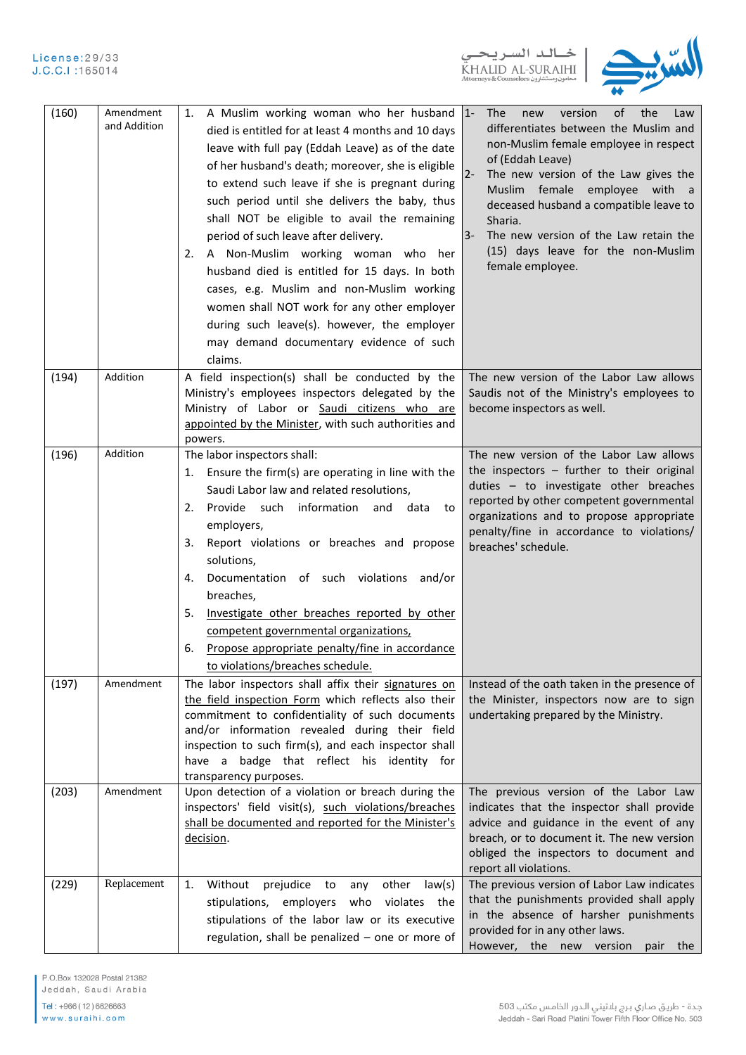



| (160) | Amendment<br>and Addition | A Muslim working woman who her husband 1-<br>1.<br>died is entitled for at least 4 months and 10 days<br>leave with full pay (Eddah Leave) as of the date<br>of her husband's death; moreover, she is eligible<br>to extend such leave if she is pregnant during<br>such period until she delivers the baby, thus<br>shall NOT be eligible to avail the remaining<br>period of such leave after delivery.<br>A Non-Muslim working woman who her<br>2.<br>husband died is entitled for 15 days. In both<br>cases, e.g. Muslim and non-Muslim working<br>women shall NOT work for any other employer<br>during such leave(s). however, the employer<br>may demand documentary evidence of such<br>claims. | of<br>the<br>The<br>new<br>version<br>Law<br>differentiates between the Muslim and<br>non-Muslim female employee in respect<br>of (Eddah Leave)<br>$2 -$<br>The new version of the Law gives the<br>Muslim female employee with a<br>deceased husband a compatible leave to<br>Sharia.<br>The new version of the Law retain the<br>$3-$<br>(15) days leave for the non-Muslim<br>female employee. |
|-------|---------------------------|---------------------------------------------------------------------------------------------------------------------------------------------------------------------------------------------------------------------------------------------------------------------------------------------------------------------------------------------------------------------------------------------------------------------------------------------------------------------------------------------------------------------------------------------------------------------------------------------------------------------------------------------------------------------------------------------------------|---------------------------------------------------------------------------------------------------------------------------------------------------------------------------------------------------------------------------------------------------------------------------------------------------------------------------------------------------------------------------------------------------|
| (194) | Addition                  | A field inspection(s) shall be conducted by the<br>Ministry's employees inspectors delegated by the<br>Ministry of Labor or Saudi citizens who are<br>appointed by the Minister, with such authorities and<br>powers.                                                                                                                                                                                                                                                                                                                                                                                                                                                                                   | The new version of the Labor Law allows<br>Saudis not of the Ministry's employees to<br>become inspectors as well.                                                                                                                                                                                                                                                                                |
| (196) | Addition                  | The labor inspectors shall:<br>Ensure the firm(s) are operating in line with the<br>1.<br>Saudi Labor law and related resolutions,<br>Provide such information<br>and<br>data<br>2.<br>to<br>employers,<br>Report violations or breaches and propose<br>3.<br>solutions,<br>Documentation of such violations and/or<br>4.<br>breaches,<br>Investigate other breaches reported by other<br>5.<br>competent governmental organizations,<br>Propose appropriate penalty/fine in accordance<br>6.<br>to violations/breaches schedule.                                                                                                                                                                       | The new version of the Labor Law allows<br>the inspectors $-$ further to their original<br>duties - to investigate other breaches<br>reported by other competent governmental<br>organizations and to propose appropriate<br>penalty/fine in accordance to violations/<br>breaches' schedule.                                                                                                     |
| (197) | Amendment                 | The labor inspectors shall affix their signatures on<br>the field inspection Form which reflects also their<br>commitment to confidentiality of such documents<br>and/or information revealed during their field<br>inspection to such firm(s), and each inspector shall<br>have a badge that reflect his identity for<br>transparency purposes.                                                                                                                                                                                                                                                                                                                                                        | Instead of the oath taken in the presence of<br>the Minister, inspectors now are to sign<br>undertaking prepared by the Ministry.                                                                                                                                                                                                                                                                 |
| (203) | Amendment                 | Upon detection of a violation or breach during the<br>inspectors' field visit(s), such violations/breaches<br>shall be documented and reported for the Minister's<br>decision.                                                                                                                                                                                                                                                                                                                                                                                                                                                                                                                          | The previous version of the Labor Law<br>indicates that the inspector shall provide<br>advice and guidance in the event of any<br>breach, or to document it. The new version<br>obliged the inspectors to document and<br>report all violations.                                                                                                                                                  |
| (229) | Replacement               | 1.<br>Without<br>prejudice<br>other<br>law(s)<br>to<br>any<br>stipulations, employers<br>violates the<br>who<br>stipulations of the labor law or its executive<br>regulation, shall be penalized - one or more of                                                                                                                                                                                                                                                                                                                                                                                                                                                                                       | The previous version of Labor Law indicates<br>that the punishments provided shall apply<br>in the absence of harsher punishments<br>provided for in any other laws.<br>However, the new version<br>pair the                                                                                                                                                                                      |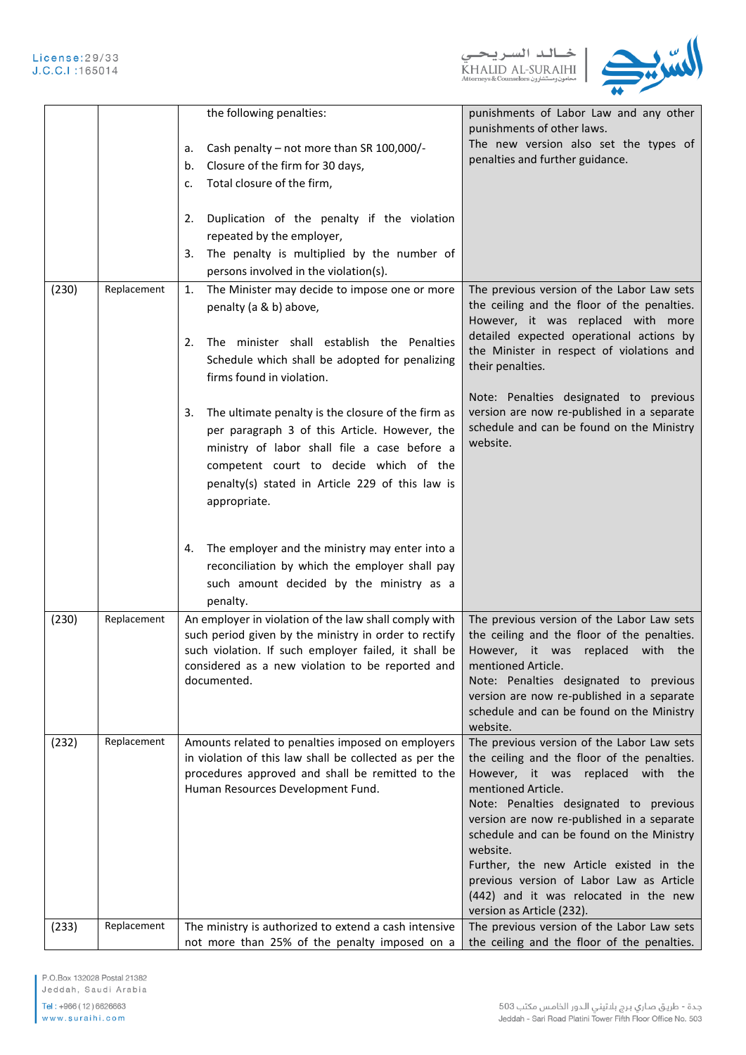

|       |             | the following penalties:<br>Cash penalty - not more than SR 100,000/-<br>a.<br>Closure of the firm for 30 days,<br>b.<br>Total closure of the firm,<br>c.<br>Duplication of the penalty if the violation<br>2.<br>repeated by the employer,<br>The penalty is multiplied by the number of<br>3.<br>persons involved in the violation(s).                                                                                                                                                   | punishments of Labor Law and any other<br>punishments of other laws.<br>The new version also set the types of<br>penalties and further guidance.                                                                                                                                                                                                                                                                                                                   |
|-------|-------------|--------------------------------------------------------------------------------------------------------------------------------------------------------------------------------------------------------------------------------------------------------------------------------------------------------------------------------------------------------------------------------------------------------------------------------------------------------------------------------------------|--------------------------------------------------------------------------------------------------------------------------------------------------------------------------------------------------------------------------------------------------------------------------------------------------------------------------------------------------------------------------------------------------------------------------------------------------------------------|
| (230) | Replacement | 1.<br>The Minister may decide to impose one or more<br>penalty (a & b) above,<br>The minister shall establish the Penalties<br>2.<br>Schedule which shall be adopted for penalizing<br>firms found in violation.<br>The ultimate penalty is the closure of the firm as<br>3.<br>per paragraph 3 of this Article. However, the<br>ministry of labor shall file a case before a<br>competent court to decide which of the<br>penalty(s) stated in Article 229 of this law is<br>appropriate. | The previous version of the Labor Law sets<br>the ceiling and the floor of the penalties.<br>However, it was replaced with more<br>detailed expected operational actions by<br>the Minister in respect of violations and<br>their penalties.<br>Note: Penalties designated to previous<br>version are now re-published in a separate<br>schedule and can be found on the Ministry<br>website.                                                                      |
|       |             | The employer and the ministry may enter into a<br>4.<br>reconciliation by which the employer shall pay<br>such amount decided by the ministry as a<br>penalty.                                                                                                                                                                                                                                                                                                                             |                                                                                                                                                                                                                                                                                                                                                                                                                                                                    |
| (230) | Replacement | An employer in violation of the law shall comply with<br>such period given by the ministry in order to rectify<br>such violation. If such employer failed, it shall be<br>considered as a new violation to be reported and $ $<br>documented.                                                                                                                                                                                                                                              | The previous version of the Labor Law sets<br>the ceiling and the floor of the penalties.<br>However, it was replaced with the<br>mentioned Article.<br>Note: Penalties designated to previous<br>version are now re-published in a separate<br>schedule and can be found on the Ministry<br>website.                                                                                                                                                              |
| (232) | Replacement | Amounts related to penalties imposed on employers<br>in violation of this law shall be collected as per the<br>procedures approved and shall be remitted to the<br>Human Resources Development Fund.                                                                                                                                                                                                                                                                                       | The previous version of the Labor Law sets<br>the ceiling and the floor of the penalties.<br>However, it was replaced with the<br>mentioned Article.<br>Note: Penalties designated to previous<br>version are now re-published in a separate<br>schedule and can be found on the Ministry<br>website.<br>Further, the new Article existed in the<br>previous version of Labor Law as Article<br>(442) and it was relocated in the new<br>version as Article (232). |
| (233) | Replacement | The ministry is authorized to extend a cash intensive<br>not more than 25% of the penalty imposed on a                                                                                                                                                                                                                                                                                                                                                                                     | The previous version of the Labor Law sets<br>the ceiling and the floor of the penalties.                                                                                                                                                                                                                                                                                                                                                                          |